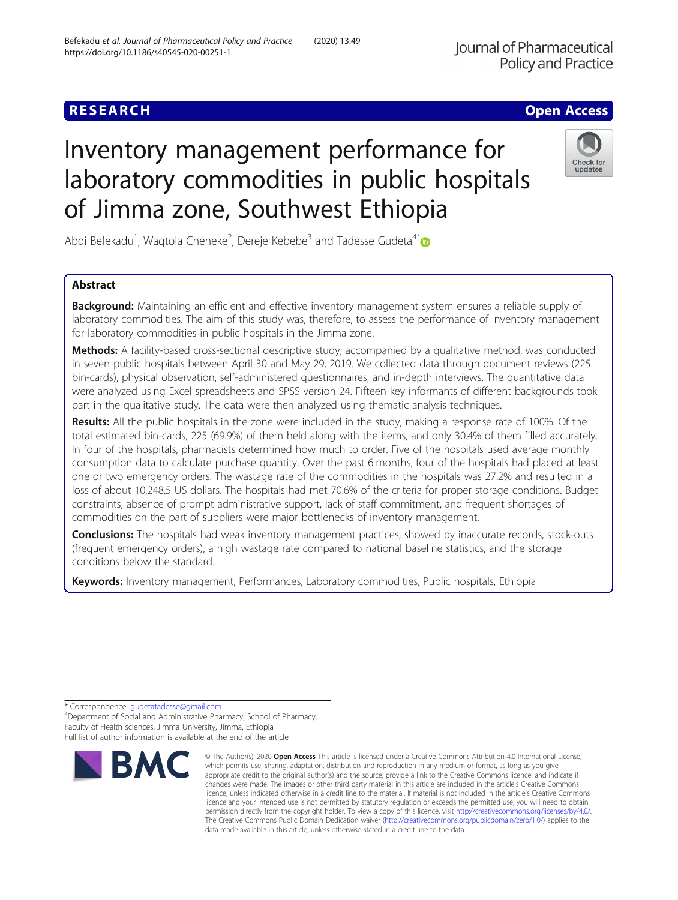# **RESEARCH CHE Open Access**

# Inventory management performance for laboratory commodities in public hospitals of Jimma zone, Southwest Ethiopia

Abdi Befekadu<sup>1</sup>, Waqtola Cheneke<sup>2</sup>, Dereje Kebebe<sup>3</sup> and Tadesse Gudeta<sup>4[\\*](http://orcid.org/0000-0002-5109-0953)</sup>

# Abstract

Background: Maintaining an efficient and effective inventory management system ensures a reliable supply of laboratory commodities. The aim of this study was, therefore, to assess the performance of inventory management for laboratory commodities in public hospitals in the Jimma zone.

Methods: A facility-based cross-sectional descriptive study, accompanied by a qualitative method, was conducted in seven public hospitals between April 30 and May 29, 2019. We collected data through document reviews (225 bin-cards), physical observation, self-administered questionnaires, and in-depth interviews. The quantitative data were analyzed using Excel spreadsheets and SPSS version 24. Fifteen key informants of different backgrounds took part in the qualitative study. The data were then analyzed using thematic analysis techniques.

Results: All the public hospitals in the zone were included in the study, making a response rate of 100%. Of the total estimated bin-cards, 225 (69.9%) of them held along with the items, and only 30.4% of them filled accurately. In four of the hospitals, pharmacists determined how much to order. Five of the hospitals used average monthly consumption data to calculate purchase quantity. Over the past 6 months, four of the hospitals had placed at least one or two emergency orders. The wastage rate of the commodities in the hospitals was 27.2% and resulted in a loss of about 10,248.5 US dollars. The hospitals had met 70.6% of the criteria for proper storage conditions. Budget constraints, absence of prompt administrative support, lack of staff commitment, and frequent shortages of commodities on the part of suppliers were major bottlenecks of inventory management.

Conclusions: The hospitals had weak inventory management practices, showed by inaccurate records, stock-outs (frequent emergency orders), a high wastage rate compared to national baseline statistics, and the storage conditions below the standard.

data made available in this article, unless otherwise stated in a credit line to the data.

© The Author(s), 2020 **Open Access** This article is licensed under a Creative Commons Attribution 4.0 International License, which permits use, sharing, adaptation, distribution and reproduction in any medium or format, as long as you give appropriate credit to the original author(s) and the source, provide a link to the Creative Commons licence, and indicate if changes were made. The images or other third party material in this article are included in the article's Creative Commons licence, unless indicated otherwise in a credit line to the material. If material is not included in the article's Creative Commons licence and your intended use is not permitted by statutory regulation or exceeds the permitted use, you will need to obtain permission directly from the copyright holder. To view a copy of this licence, visit [http://creativecommons.org/licenses/by/4.0/.](http://creativecommons.org/licenses/by/4.0/) The Creative Commons Public Domain Dedication waiver [\(http://creativecommons.org/publicdomain/zero/1.0/](http://creativecommons.org/publicdomain/zero/1.0/)) applies to the

Keywords: Inventory management, Performances, Laboratory commodities, Public hospitals, Ethiopia

\* Correspondence: [gudetatadesse@gmail.com](mailto:gudetatadesse@gmail.com) <sup>4</sup>

Department of Social and Administrative Pharmacy, School of Pharmacy, Faculty of Health sciences, Jimma University, Jimma, Ethiopia Full list of author information is available at the end of the article

**RMC** 





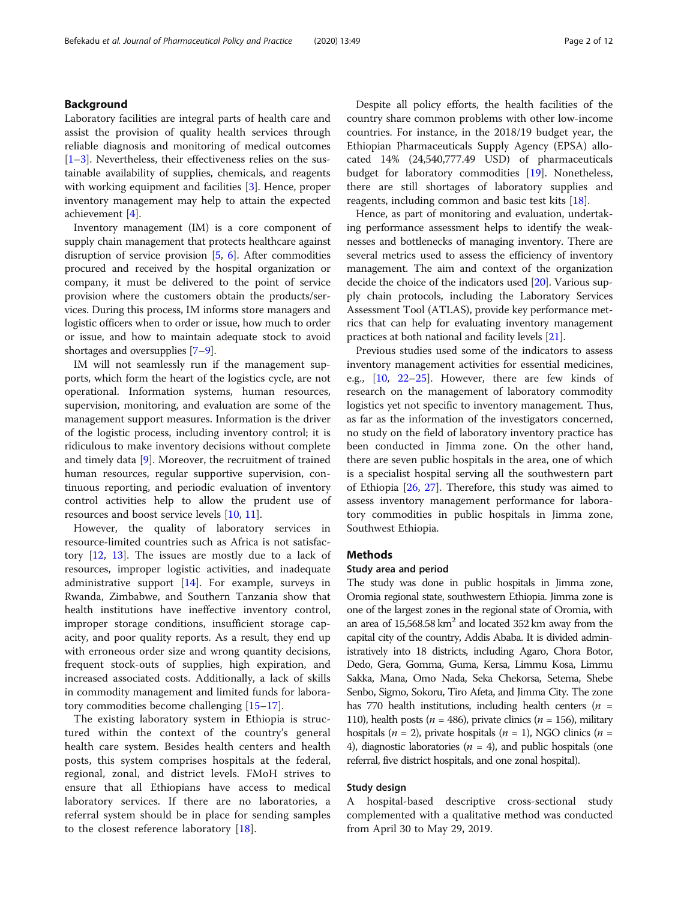# Background

Laboratory facilities are integral parts of health care and assist the provision of quality health services through reliable diagnosis and monitoring of medical outcomes [[1](#page-10-0)–[3\]](#page-10-0). Nevertheless, their effectiveness relies on the sustainable availability of supplies, chemicals, and reagents with working equipment and facilities [[3](#page-10-0)]. Hence, proper inventory management may help to attain the expected achievement [[4\]](#page-10-0).

Inventory management (IM) is a core component of supply chain management that protects healthcare against disruption of service provision [\[5,](#page-10-0) [6\]](#page-10-0). After commodities procured and received by the hospital organization or company, it must be delivered to the point of service provision where the customers obtain the products/services. During this process, IM informs store managers and logistic officers when to order or issue, how much to order or issue, and how to maintain adequate stock to avoid shortages and oversupplies [\[7](#page-10-0)–[9\]](#page-10-0).

IM will not seamlessly run if the management supports, which form the heart of the logistics cycle, are not operational. Information systems, human resources, supervision, monitoring, and evaluation are some of the management support measures. Information is the driver of the logistic process, including inventory control; it is ridiculous to make inventory decisions without complete and timely data [[9\]](#page-10-0). Moreover, the recruitment of trained human resources, regular supportive supervision, continuous reporting, and periodic evaluation of inventory control activities help to allow the prudent use of resources and boost service levels [\[10](#page-10-0), [11](#page-10-0)].

However, the quality of laboratory services in resource-limited countries such as Africa is not satisfactory [\[12](#page-10-0), [13](#page-10-0)]. The issues are mostly due to a lack of resources, improper logistic activities, and inadequate administrative support [\[14\]](#page-10-0). For example, surveys in Rwanda, Zimbabwe, and Southern Tanzania show that health institutions have ineffective inventory control, improper storage conditions, insufficient storage capacity, and poor quality reports. As a result, they end up with erroneous order size and wrong quantity decisions, frequent stock-outs of supplies, high expiration, and increased associated costs. Additionally, a lack of skills in commodity management and limited funds for laboratory commodities become challenging [[15](#page-10-0)–[17](#page-10-0)].

The existing laboratory system in Ethiopia is structured within the context of the country's general health care system. Besides health centers and health posts, this system comprises hospitals at the federal, regional, zonal, and district levels. FMoH strives to ensure that all Ethiopians have access to medical laboratory services. If there are no laboratories, a referral system should be in place for sending samples to the closest reference laboratory [[18\]](#page-10-0).

Despite all policy efforts, the health facilities of the country share common problems with other low-income countries. For instance, in the 2018/19 budget year, the Ethiopian Pharmaceuticals Supply Agency (EPSA) allocated 14% (24,540,777.49 USD) of pharmaceuticals budget for laboratory commodities [[19](#page-10-0)]. Nonetheless, there are still shortages of laboratory supplies and reagents, including common and basic test kits [\[18](#page-10-0)].

Hence, as part of monitoring and evaluation, undertaking performance assessment helps to identify the weaknesses and bottlenecks of managing inventory. There are several metrics used to assess the efficiency of inventory management. The aim and context of the organization decide the choice of the indicators used [[20](#page-10-0)]. Various supply chain protocols, including the Laboratory Services Assessment Tool (ATLAS), provide key performance metrics that can help for evaluating inventory management practices at both national and facility levels [\[21\]](#page-10-0).

Previous studies used some of the indicators to assess inventory management activities for essential medicines, e.g., [\[10](#page-10-0), [22](#page-10-0)–[25](#page-11-0)]. However, there are few kinds of research on the management of laboratory commodity logistics yet not specific to inventory management. Thus, as far as the information of the investigators concerned, no study on the field of laboratory inventory practice has been conducted in Jimma zone. On the other hand, there are seven public hospitals in the area, one of which is a specialist hospital serving all the southwestern part of Ethiopia [\[26](#page-11-0), [27\]](#page-11-0). Therefore, this study was aimed to assess inventory management performance for laboratory commodities in public hospitals in Jimma zone, Southwest Ethiopia.

# Methods

# Study area and period

The study was done in public hospitals in Jimma zone, Oromia regional state, southwestern Ethiopia. Jimma zone is one of the largest zones in the regional state of Oromia, with an area of  $15,568.58 \text{ km}^2$  and located 352 km away from the capital city of the country, Addis Ababa. It is divided administratively into 18 districts, including Agaro, Chora Botor, Dedo, Gera, Gomma, Guma, Kersa, Limmu Kosa, Limmu Sakka, Mana, Omo Nada, Seka Chekorsa, Setema, Shebe Senbo, Sigmo, Sokoru, Tiro Afeta, and Jimma City. The zone has 770 health institutions, including health centers ( $n =$ 110), health posts ( $n = 486$ ), private clinics ( $n = 156$ ), military hospitals ( $n = 2$ ), private hospitals ( $n = 1$ ), NGO clinics ( $n =$ 4), diagnostic laboratories ( $n = 4$ ), and public hospitals (one referral, five district hospitals, and one zonal hospital).

# Study design

A hospital-based descriptive cross-sectional study complemented with a qualitative method was conducted from April 30 to May 29, 2019.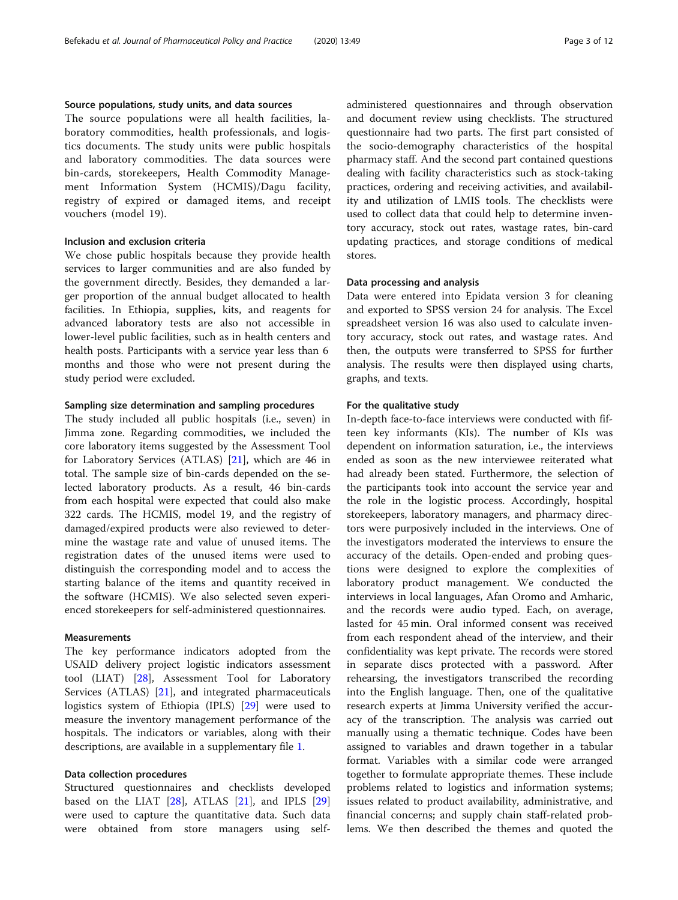# Source populations, study units, and data sources

The source populations were all health facilities, laboratory commodities, health professionals, and logistics documents. The study units were public hospitals and laboratory commodities. The data sources were bin-cards, storekeepers, Health Commodity Management Information System (HCMIS)/Dagu facility, registry of expired or damaged items, and receipt vouchers (model 19).

# Inclusion and exclusion criteria

We chose public hospitals because they provide health services to larger communities and are also funded by the government directly. Besides, they demanded a larger proportion of the annual budget allocated to health facilities. In Ethiopia, supplies, kits, and reagents for advanced laboratory tests are also not accessible in lower-level public facilities, such as in health centers and health posts. Participants with a service year less than 6 months and those who were not present during the study period were excluded.

# Sampling size determination and sampling procedures

The study included all public hospitals (i.e., seven) in Jimma zone. Regarding commodities, we included the core laboratory items suggested by the Assessment Tool for Laboratory Services (ATLAS) [\[21](#page-10-0)], which are 46 in total. The sample size of bin-cards depended on the selected laboratory products. As a result, 46 bin-cards from each hospital were expected that could also make 322 cards. The HCMIS, model 19, and the registry of damaged/expired products were also reviewed to determine the wastage rate and value of unused items. The registration dates of the unused items were used to distinguish the corresponding model and to access the starting balance of the items and quantity received in the software (HCMIS). We also selected seven experienced storekeepers for self-administered questionnaires.

## Measurements

The key performance indicators adopted from the USAID delivery project logistic indicators assessment tool (LIAT) [\[28](#page-11-0)], Assessment Tool for Laboratory Services (ATLAS) [\[21\]](#page-10-0), and integrated pharmaceuticals logistics system of Ethiopia (IPLS) [[29\]](#page-11-0) were used to measure the inventory management performance of the hospitals. The indicators or variables, along with their descriptions, are available in a supplementary file [1.](#page-9-0)

# Data collection procedures

Structured questionnaires and checklists developed based on the LIAT [\[28](#page-11-0)], ATLAS [\[21](#page-10-0)], and IPLS [[29](#page-11-0)] were used to capture the quantitative data. Such data were obtained from store managers using selfadministered questionnaires and through observation and document review using checklists. The structured questionnaire had two parts. The first part consisted of the socio-demography characteristics of the hospital pharmacy staff. And the second part contained questions dealing with facility characteristics such as stock-taking practices, ordering and receiving activities, and availability and utilization of LMIS tools. The checklists were used to collect data that could help to determine inventory accuracy, stock out rates, wastage rates, bin-card updating practices, and storage conditions of medical stores.

# Data processing and analysis

Data were entered into Epidata version 3 for cleaning and exported to SPSS version 24 for analysis. The Excel spreadsheet version 16 was also used to calculate inventory accuracy, stock out rates, and wastage rates. And then, the outputs were transferred to SPSS for further analysis. The results were then displayed using charts, graphs, and texts.

# For the qualitative study

In-depth face-to-face interviews were conducted with fifteen key informants (KIs). The number of KIs was dependent on information saturation, i.e., the interviews ended as soon as the new interviewee reiterated what had already been stated. Furthermore, the selection of the participants took into account the service year and the role in the logistic process. Accordingly, hospital storekeepers, laboratory managers, and pharmacy directors were purposively included in the interviews. One of the investigators moderated the interviews to ensure the accuracy of the details. Open-ended and probing questions were designed to explore the complexities of laboratory product management. We conducted the interviews in local languages, Afan Oromo and Amharic, and the records were audio typed. Each, on average, lasted for 45 min. Oral informed consent was received from each respondent ahead of the interview, and their confidentiality was kept private. The records were stored in separate discs protected with a password. After rehearsing, the investigators transcribed the recording into the English language. Then, one of the qualitative research experts at Jimma University verified the accuracy of the transcription. The analysis was carried out manually using a thematic technique. Codes have been assigned to variables and drawn together in a tabular format. Variables with a similar code were arranged together to formulate appropriate themes. These include problems related to logistics and information systems; issues related to product availability, administrative, and financial concerns; and supply chain staff-related problems. We then described the themes and quoted the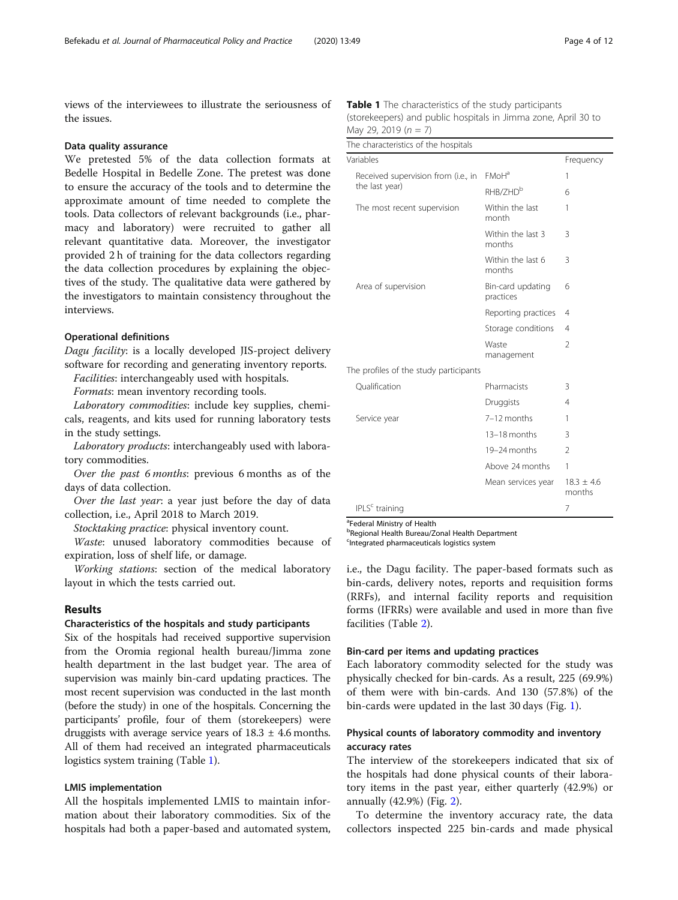views of the interviewees to illustrate the seriousness of the issues.

## Data quality assurance

We pretested 5% of the data collection formats at Bedelle Hospital in Bedelle Zone. The pretest was done to ensure the accuracy of the tools and to determine the approximate amount of time needed to complete the tools. Data collectors of relevant backgrounds (i.e., pharmacy and laboratory) were recruited to gather all relevant quantitative data. Moreover, the investigator provided 2 h of training for the data collectors regarding the data collection procedures by explaining the objectives of the study. The qualitative data were gathered by the investigators to maintain consistency throughout the interviews.

# Operational definitions

Dagu facility: is a locally developed JIS-project delivery software for recording and generating inventory reports.

Facilities: interchangeably used with hospitals.

Formats: mean inventory recording tools.

Laboratory commodities: include key supplies, chemicals, reagents, and kits used for running laboratory tests in the study settings.

Laboratory products: interchangeably used with laboratory commodities.

Over the past 6 months: previous 6 months as of the days of data collection.

Over the last year: a year just before the day of data collection, i.e., April 2018 to March 2019.

Stocktaking practice: physical inventory count.

Waste: unused laboratory commodities because of expiration, loss of shelf life, or damage.

Working stations: section of the medical laboratory layout in which the tests carried out.

# Results

## Characteristics of the hospitals and study participants

Six of the hospitals had received supportive supervision from the Oromia regional health bureau/Jimma zone health department in the last budget year. The area of supervision was mainly bin-card updating practices. The most recent supervision was conducted in the last month (before the study) in one of the hospitals. Concerning the participants' profile, four of them (storekeepers) were druggists with average service years of  $18.3 \pm 4.6$  months. All of them had received an integrated pharmaceuticals logistics system training (Table 1).

# LMIS implementation

All the hospitals implemented LMIS to maintain information about their laboratory commodities. Six of the hospitals had both a paper-based and automated system,

| <b>Table 1</b> The characteristics of the study participants   |
|----------------------------------------------------------------|
| (storekeepers) and public hospitals in Jimma zone, April 30 to |
| May 29, 2019 (n = 7)                                           |

The characteristics of the hospitals

| THE CHARACTERISTICS OF THE HOSPITARS<br>Variables     |                                | Frequency                |  |
|-------------------------------------------------------|--------------------------------|--------------------------|--|
|                                                       |                                |                          |  |
| Received supervision from (i.e., in<br>the last year) | $FMOH^a$                       | 1                        |  |
|                                                       | RHB/7HD <sup>b</sup>           | 6                        |  |
| The most recent supervision                           | Within the last<br>month       | 1                        |  |
|                                                       | Within the last 3<br>months    | 3                        |  |
|                                                       | Within the last 6<br>months    | 3                        |  |
| Area of supervision                                   | Bin-card updating<br>practices | 6                        |  |
|                                                       | Reporting practices            | 4                        |  |
|                                                       | Storage conditions             | 4                        |  |
|                                                       | Waste<br>management            | $\mathfrak{D}$           |  |
| The profiles of the study participants                |                                |                          |  |
| Oualification                                         | Pharmacists                    | 3                        |  |
|                                                       | Druggists                      | $\overline{4}$           |  |
| Service year                                          | 7-12 months                    | 1                        |  |
|                                                       | 13-18 months                   | 3                        |  |
|                                                       | 19-24 months                   | $\mathfrak{D}$           |  |
|                                                       | Above 24 months                | 1                        |  |
|                                                       | Mean services year             | $18.3 \pm 4.6$<br>months |  |
| IPLS <sup>c</sup> training                            |                                | 7                        |  |

<sup>a</sup>Federal Ministry of Health

b Regional Health Bureau/Zonal Health Department

<sup>c</sup>Integrated pharmaceuticals logistics system

i.e., the Dagu facility. The paper-based formats such as bin-cards, delivery notes, reports and requisition forms (RRFs), and internal facility reports and requisition forms (IFRRs) were available and used in more than five facilities (Table [2\)](#page-4-0).

# Bin-card per items and updating practices

Each laboratory commodity selected for the study was physically checked for bin-cards. As a result, 225 (69.9%) of them were with bin-cards. And 130 (57.8%) of the bin-cards were updated in the last 30 days (Fig. [1\)](#page-5-0).

# Physical counts of laboratory commodity and inventory accuracy rates

The interview of the storekeepers indicated that six of the hospitals had done physical counts of their laboratory items in the past year, either quarterly (42.9%) or annually (42.9%) (Fig. [2\)](#page-5-0).

To determine the inventory accuracy rate, the data collectors inspected 225 bin-cards and made physical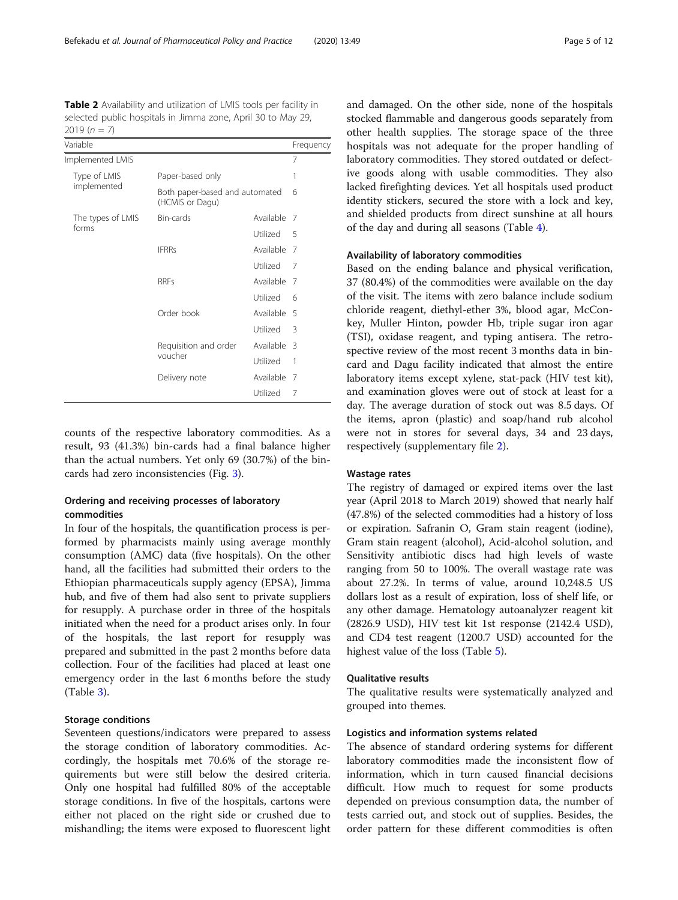<span id="page-4-0"></span>Table 2 Availability and utilization of LMIS tools per facility in selected public hospitals in Jimma zone, April 30 to May 29, 2019  $(n = 7)$ 

| Variable                    |                                                   |             | Frequency |
|-----------------------------|---------------------------------------------------|-------------|-----------|
| Implemented LMIS            |                                                   |             | 7         |
| Type of LMIS<br>implemented | Paper-based only                                  | 1           |           |
|                             | Both paper-based and automated<br>(HCMIS or Dagu) | 6           |           |
| The types of LMIS<br>forms  | Bin-cards                                         | Available   | 7         |
|                             |                                                   | Utilized    | 5         |
|                             | <b>IFRRs</b>                                      | Available   | 7         |
|                             |                                                   | Utilized    | 7         |
|                             | <b>RRFs</b>                                       | Available   | 7         |
|                             |                                                   | Utilized    | 6         |
|                             | Order book                                        | Available 5 |           |
|                             |                                                   | Utilized    | 3         |
|                             | Requisition and order                             | Available   | 3         |
|                             | voucher                                           | Utilized    | 1         |
|                             | Delivery note                                     | Available   | 7         |
|                             |                                                   | Utilized    | 7         |

counts of the respective laboratory commodities. As a result, 93 (41.3%) bin-cards had a final balance higher than the actual numbers. Yet only 69 (30.7%) of the bincards had zero inconsistencies (Fig. [3](#page-6-0)).

# Ordering and receiving processes of laboratory commodities

In four of the hospitals, the quantification process is performed by pharmacists mainly using average monthly consumption (AMC) data (five hospitals). On the other hand, all the facilities had submitted their orders to the Ethiopian pharmaceuticals supply agency (EPSA), Jimma hub, and five of them had also sent to private suppliers for resupply. A purchase order in three of the hospitals initiated when the need for a product arises only. In four of the hospitals, the last report for resupply was prepared and submitted in the past 2 months before data collection. Four of the facilities had placed at least one emergency order in the last 6 months before the study (Table [3\)](#page-6-0).

# Storage conditions

Seventeen questions/indicators were prepared to assess the storage condition of laboratory commodities. Accordingly, the hospitals met 70.6% of the storage requirements but were still below the desired criteria. Only one hospital had fulfilled 80% of the acceptable storage conditions. In five of the hospitals, cartons were either not placed on the right side or crushed due to mishandling; the items were exposed to fluorescent light and damaged. On the other side, none of the hospitals stocked flammable and dangerous goods separately from other health supplies. The storage space of the three hospitals was not adequate for the proper handling of laboratory commodities. They stored outdated or defective goods along with usable commodities. They also lacked firefighting devices. Yet all hospitals used product identity stickers, secured the store with a lock and key, and shielded products from direct sunshine at all hours of the day and during all seasons (Table [4](#page-7-0)).

# Availability of laboratory commodities

Based on the ending balance and physical verification, 37 (80.4%) of the commodities were available on the day of the visit. The items with zero balance include sodium chloride reagent, diethyl-ether 3%, blood agar, McConkey, Muller Hinton, powder Hb, triple sugar iron agar (TSI), oxidase reagent, and typing antisera. The retrospective review of the most recent 3 months data in bincard and Dagu facility indicated that almost the entire laboratory items except xylene, stat-pack (HIV test kit), and examination gloves were out of stock at least for a day. The average duration of stock out was 8.5 days. Of the items, apron (plastic) and soap/hand rub alcohol were not in stores for several days, 34 and 23 days, respectively (supplementary file [2\)](#page-9-0).

# Wastage rates

The registry of damaged or expired items over the last year (April 2018 to March 2019) showed that nearly half (47.8%) of the selected commodities had a history of loss or expiration. Safranin O, Gram stain reagent (iodine), Gram stain reagent (alcohol), Acid-alcohol solution, and Sensitivity antibiotic discs had high levels of waste ranging from 50 to 100%. The overall wastage rate was about 27.2%. In terms of value, around 10,248.5 US dollars lost as a result of expiration, loss of shelf life, or any other damage. Hematology autoanalyzer reagent kit (2826.9 USD), HIV test kit 1st response (2142.4 USD), and CD4 test reagent (1200.7 USD) accounted for the highest value of the loss (Table [5\)](#page-8-0).

# Qualitative results

The qualitative results were systematically analyzed and grouped into themes.

# Logistics and information systems related

The absence of standard ordering systems for different laboratory commodities made the inconsistent flow of information, which in turn caused financial decisions difficult. How much to request for some products depended on previous consumption data, the number of tests carried out, and stock out of supplies. Besides, the order pattern for these different commodities is often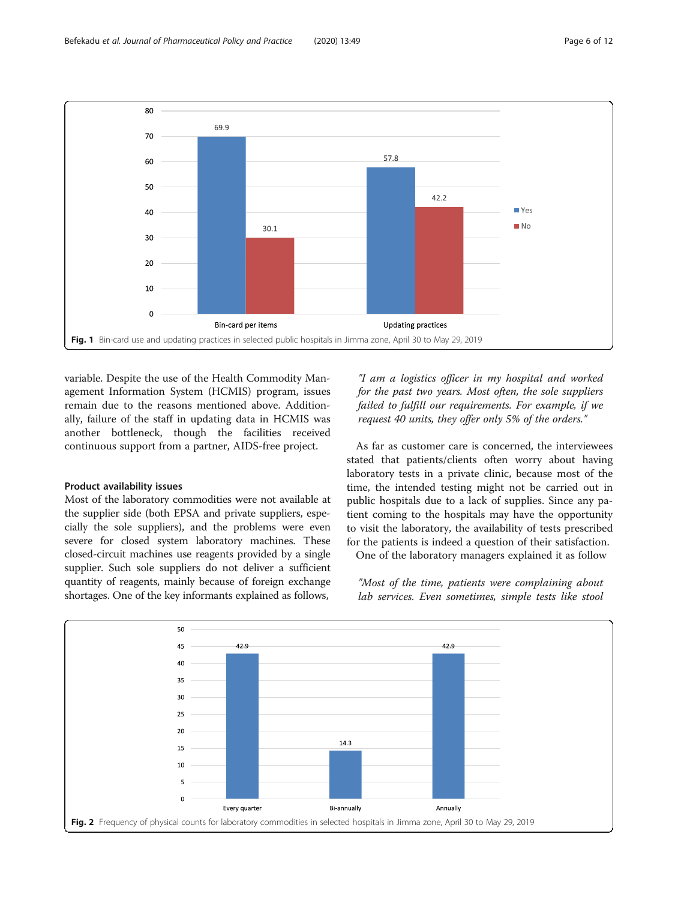<span id="page-5-0"></span>

variable. Despite the use of the Health Commodity Management Information System (HCMIS) program, issues remain due to the reasons mentioned above. Additionally, failure of the staff in updating data in HCMIS was another bottleneck, though the facilities received continuous support from a partner, AIDS-free project.

# Product availability issues

Most of the laboratory commodities were not available at the supplier side (both EPSA and private suppliers, especially the sole suppliers), and the problems were even severe for closed system laboratory machines. These closed-circuit machines use reagents provided by a single supplier. Such sole suppliers do not deliver a sufficient quantity of reagents, mainly because of foreign exchange shortages. One of the key informants explained as follows,

"I am a logistics officer in my hospital and worked for the past two years. Most often, the sole suppliers failed to fulfill our requirements. For example, if we request 40 units, they offer only 5% of the orders."

As far as customer care is concerned, the interviewees stated that patients/clients often worry about having laboratory tests in a private clinic, because most of the time, the intended testing might not be carried out in public hospitals due to a lack of supplies. Since any patient coming to the hospitals may have the opportunity to visit the laboratory, the availability of tests prescribed for the patients is indeed a question of their satisfaction.

One of the laboratory managers explained it as follow

"Most of the time, patients were complaining about lab services. Even sometimes, simple tests like stool

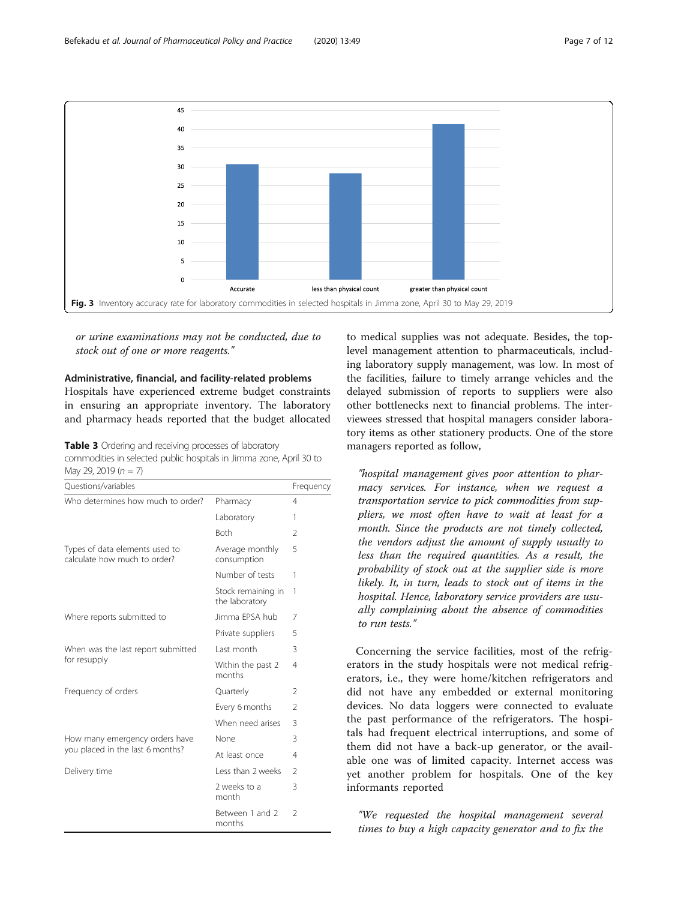<span id="page-6-0"></span>

or urine examinations may not be conducted, due to stock out of one or more reagents."

# Administrative, financial, and facility-related problems

Hospitals have experienced extreme budget constraints in ensuring an appropriate inventory. The laboratory and pharmacy heads reported that the budget allocated

Table 3 Ordering and receiving processes of laboratory commodities in selected public hospitals in Jimma zone, April 30 to May 29, 2019  $(n = 7)$ 

| Questions/variables                                                |                                      | Frequency      |
|--------------------------------------------------------------------|--------------------------------------|----------------|
| Who determines how much to order?                                  | Pharmacy                             | $\overline{4}$ |
|                                                                    | Laboratory                           | 1              |
|                                                                    | <b>Both</b>                          | $\mathfrak{D}$ |
| Types of data elements used to<br>calculate how much to order?     | Average monthly<br>consumption       | 5              |
|                                                                    | Number of tests                      | 1              |
|                                                                    | Stock remaining in<br>the laboratory | 1              |
| Where reports submitted to                                         | Jimma FPSA hub                       | 7              |
|                                                                    | Private suppliers                    | 5              |
| When was the last report submitted<br>for resupply                 | Last month                           | 3              |
|                                                                    | Within the past 2<br>months          | 4              |
| Frequency of orders                                                | Quarterly                            | $\mathcal{P}$  |
|                                                                    | Every 6 months                       | $\mathfrak{D}$ |
|                                                                    | When need arises                     | 3              |
| How many emergency orders have<br>you placed in the last 6 months? | None                                 | 3              |
|                                                                    | At least once                        | 4              |
| Delivery time                                                      | Less than 2 weeks                    | $\mathcal{P}$  |
|                                                                    | 2 weeks to a<br>month                | 3              |
|                                                                    | Between 1 and 2<br>months            | $\mathfrak{D}$ |

to medical supplies was not adequate. Besides, the toplevel management attention to pharmaceuticals, including laboratory supply management, was low. In most of the facilities, failure to timely arrange vehicles and the delayed submission of reports to suppliers were also other bottlenecks next to financial problems. The interviewees stressed that hospital managers consider laboratory items as other stationery products. One of the store managers reported as follow,

"hospital management gives poor attention to pharmacy services. For instance, when we request a transportation service to pick commodities from suppliers, we most often have to wait at least for a month. Since the products are not timely collected, the vendors adjust the amount of supply usually to less than the required quantities. As a result, the probability of stock out at the supplier side is more likely. It, in turn, leads to stock out of items in the hospital. Hence, laboratory service providers are usually complaining about the absence of commodities to run tests."

Concerning the service facilities, most of the refrigerators in the study hospitals were not medical refrigerators, i.e., they were home/kitchen refrigerators and did not have any embedded or external monitoring devices. No data loggers were connected to evaluate the past performance of the refrigerators. The hospitals had frequent electrical interruptions, and some of them did not have a back-up generator, or the available one was of limited capacity. Internet access was yet another problem for hospitals. One of the key informants reported

"We requested the hospital management several times to buy a high capacity generator and to fix the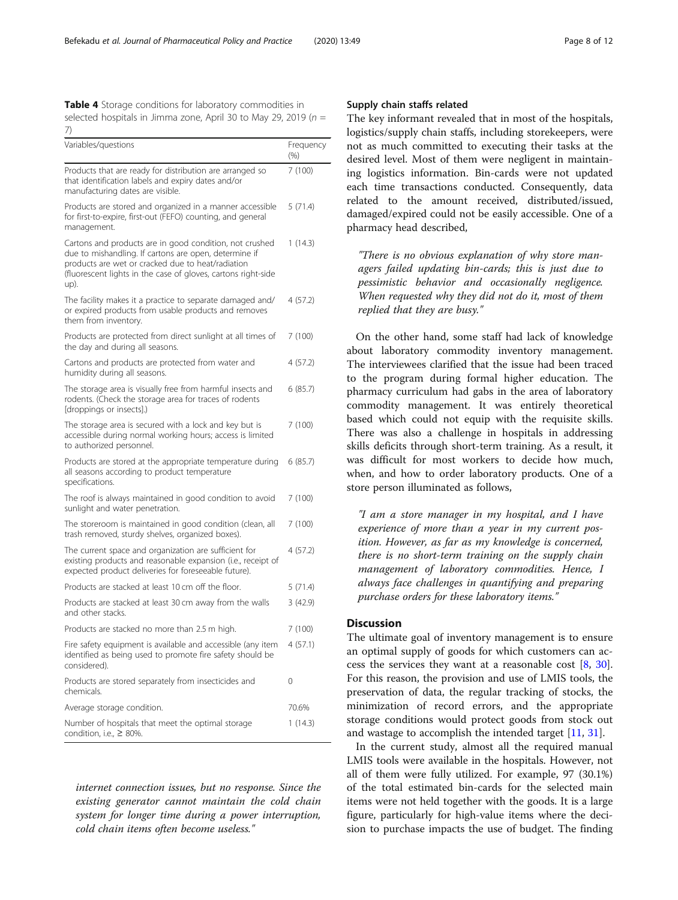<span id="page-7-0"></span>Table 4 Storage conditions for laboratory commodities in selected hospitals in Jimma zone, April 30 to May 29, 2019 ( $n =$ 7)

| Variables/questions                                                                                                                                                                                                                            | Frequency<br>$(\% )$ |
|------------------------------------------------------------------------------------------------------------------------------------------------------------------------------------------------------------------------------------------------|----------------------|
| Products that are ready for distribution are arranged so<br>that identification labels and expiry dates and/or<br>manufacturing dates are visible.                                                                                             | 7 (100)              |
| Products are stored and organized in a manner accessible<br>for first-to-expire, first-out (FEFO) counting, and general<br>management.                                                                                                         | 5(71.4)              |
| Cartons and products are in good condition, not crushed<br>due to mishandling. If cartons are open, determine if<br>products are wet or cracked due to heat/radiation<br>(fluorescent lights in the case of gloves, cartons right-side<br>up). | 1(14.3)              |
| The facility makes it a practice to separate damaged and/<br>or expired products from usable products and removes<br>them from inventory.                                                                                                      | 4 (57.2)             |
| Products are protected from direct sunlight at all times of<br>the day and during all seasons.                                                                                                                                                 | 7(100)               |
| Cartons and products are protected from water and<br>humidity during all seasons.                                                                                                                                                              | 4 (57.2)             |
| The storage area is visually free from harmful insects and<br>rodents. (Check the storage area for traces of rodents<br>[droppings or insects].)                                                                                               | 6(85.7)              |
| The storage area is secured with a lock and key but is<br>accessible during normal working hours; access is limited<br>to authorized personnel.                                                                                                | 7 (100)              |
| Products are stored at the appropriate temperature during<br>all seasons according to product temperature<br>specifications.                                                                                                                   | 6(85.7)              |
| The roof is always maintained in good condition to avoid<br>sunlight and water penetration.                                                                                                                                                    | 7(100)               |
| The storeroom is maintained in good condition (clean, all<br>trash removed, sturdy shelves, organized boxes).                                                                                                                                  | 7 (100)              |
| The current space and organization are sufficient for<br>existing products and reasonable expansion (i.e., receipt of<br>expected product deliveries for foreseeable future).                                                                  | 4 (57.2)             |
| Products are stacked at least 10 cm off the floor.                                                                                                                                                                                             | 5 (71.4)             |
| Products are stacked at least 30 cm away from the walls<br>and other stacks.                                                                                                                                                                   | 3(42.9)              |
| Products are stacked no more than 2.5 m high.                                                                                                                                                                                                  | 7(100)               |
| Fire safety equipment is available and accessible (any item<br>identified as being used to promote fire safety should be<br>considered).                                                                                                       | 4(57.1)              |
| Products are stored separately from insecticides and<br>chemicals.                                                                                                                                                                             | 0                    |
| Average storage condition.                                                                                                                                                                                                                     | 70.6%                |
| Number of hospitals that meet the optimal storage<br>condition, i.e., $\geq 80\%$ .                                                                                                                                                            | 1(14.3)              |

internet connection issues, but no response. Since the existing generator cannot maintain the cold chain system for longer time during a power interruption, cold chain items often become useless."

# Supply chain staffs related

The key informant revealed that in most of the hospitals, logistics/supply chain staffs, including storekeepers, were not as much committed to executing their tasks at the desired level. Most of them were negligent in maintaining logistics information. Bin-cards were not updated each time transactions conducted. Consequently, data related to the amount received, distributed/issued, damaged/expired could not be easily accessible. One of a pharmacy head described,

"There is no obvious explanation of why store managers failed updating bin-cards; this is just due to pessimistic behavior and occasionally negligence. When requested why they did not do it, most of them replied that they are busy."

On the other hand, some staff had lack of knowledge about laboratory commodity inventory management. The interviewees clarified that the issue had been traced to the program during formal higher education. The pharmacy curriculum had gabs in the area of laboratory commodity management. It was entirely theoretical based which could not equip with the requisite skills. There was also a challenge in hospitals in addressing skills deficits through short-term training. As a result, it was difficult for most workers to decide how much, when, and how to order laboratory products. One of a store person illuminated as follows,

"I am a store manager in my hospital, and I have experience of more than a year in my current position. However, as far as my knowledge is concerned, there is no short-term training on the supply chain management of laboratory commodities. Hence, I always face challenges in quantifying and preparing purchase orders for these laboratory items."

# **Discussion**

The ultimate goal of inventory management is to ensure an optimal supply of goods for which customers can access the services they want at a reasonable cost [[8](#page-10-0), [30](#page-11-0)]. For this reason, the provision and use of LMIS tools, the preservation of data, the regular tracking of stocks, the minimization of record errors, and the appropriate storage conditions would protect goods from stock out and wastage to accomplish the intended target [[11](#page-10-0), [31](#page-11-0)].

In the current study, almost all the required manual LMIS tools were available in the hospitals. However, not all of them were fully utilized. For example, 97 (30.1%) of the total estimated bin-cards for the selected main items were not held together with the goods. It is a large figure, particularly for high-value items where the decision to purchase impacts the use of budget. The finding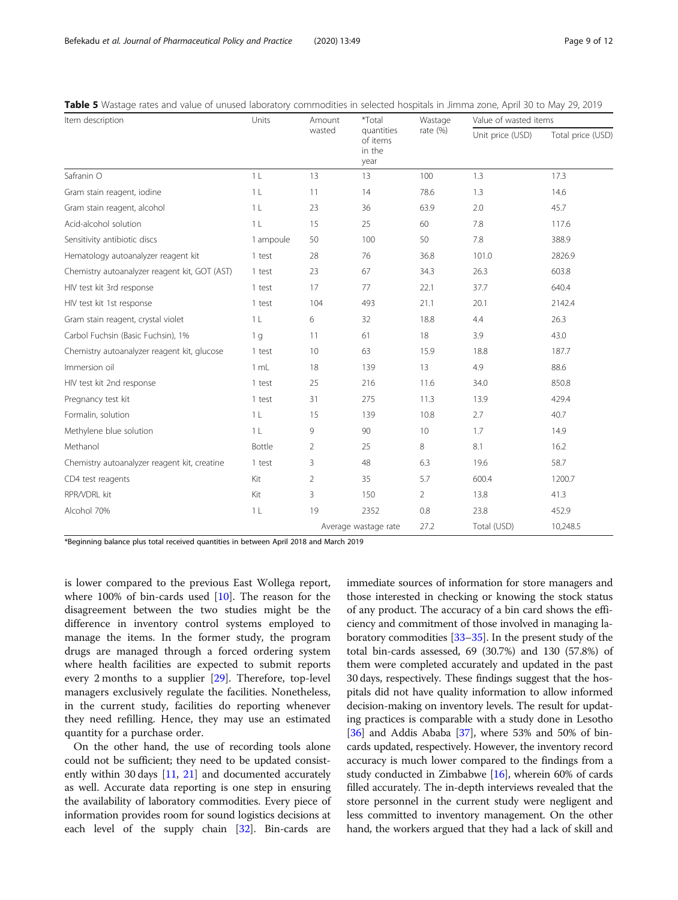| Item description                              | Units          | Amount<br>wasted     | *Total<br>quantities<br>of items<br>in the<br>year | Wastage<br>rate $(\%)$ | Value of wasted items |                   |
|-----------------------------------------------|----------------|----------------------|----------------------------------------------------|------------------------|-----------------------|-------------------|
|                                               |                |                      |                                                    |                        | Unit price (USD)      | Total price (USD) |
| Safranin O                                    | 1 <sub>L</sub> | 13                   | 13                                                 | 100                    | 1.3                   | 17.3              |
| Gram stain reagent, iodine                    | 1 <sub>L</sub> | 11                   | 14                                                 | 78.6                   | 1.3                   | 14.6              |
| Gram stain reagent, alcohol                   | 1 <sub>L</sub> | 23                   | 36                                                 | 63.9                   | 2.0                   | 45.7              |
| Acid-alcohol solution                         | 1 <sub>L</sub> | 15                   | 25                                                 | 60                     | 7.8                   | 117.6             |
| Sensitivity antibiotic discs                  | 1 ampoule      | 50                   | 100                                                | 50                     | 7.8                   | 388.9             |
| Hematology autoanalyzer reagent kit           | 1 test         | 28                   | 76                                                 | 36.8                   | 101.0                 | 2826.9            |
| Chemistry autoanalyzer reagent kit, GOT (AST) | 1 test         | 23                   | 67                                                 | 34.3                   | 26.3                  | 603.8             |
| HIV test kit 3rd response                     | 1 test         | 17                   | 77                                                 | 22.1                   | 37.7                  | 640.4             |
| HIV test kit 1st response                     | 1 test         | 104                  | 493                                                | 21.1                   | 20.1                  | 2142.4            |
| Gram stain reagent, crystal violet            | 1 <sub>L</sub> | 6                    | 32                                                 | 18.8                   | 4.4                   | 26.3              |
| Carbol Fuchsin (Basic Fuchsin), 1%            | 1 <sub>g</sub> | 11                   | 61                                                 | 18                     | 3.9                   | 43.0              |
| Chemistry autoanalyzer reagent kit, glucose   | 1 test         | 10                   | 63                                                 | 15.9                   | 18.8                  | 187.7             |
| Immersion oil                                 | 1 mL           | 18                   | 139                                                | 13                     | 4.9                   | 88.6              |
| HIV test kit 2nd response                     | 1 test         | 25                   | 216                                                | 11.6                   | 34.0                  | 850.8             |
| Pregnancy test kit                            | 1 test         | 31                   | 275                                                | 11.3                   | 13.9                  | 429.4             |
| Formalin, solution                            | 1 <sub>L</sub> | 15                   | 139                                                | 10.8                   | 2.7                   | 40.7              |
| Methylene blue solution                       | 1 <sub>L</sub> | 9                    | 90                                                 | 10                     | 1.7                   | 14.9              |
| Methanol                                      | Bottle         | 2                    | 25                                                 | 8                      | 8.1                   | 16.2              |
| Chemistry autoanalyzer reagent kit, creatine  | 1 test         | 3                    | 48                                                 | 6.3                    | 19.6                  | 58.7              |
| CD4 test reagents                             | Kit            | $\overline{2}$       | 35                                                 | 5.7                    | 600.4                 | 1200.7            |
| RPR/VDRL kit                                  | Kit            | 3                    | 150                                                | $\overline{2}$         | 13.8                  | 41.3              |
| Alcohol 70%                                   | 1 <sub>L</sub> | 19                   | 2352                                               | 0.8                    | 23.8                  | 452.9             |
|                                               |                | Average wastage rate |                                                    | 27.2                   | Total (USD)           | 10,248.5          |

<span id="page-8-0"></span>Table 5 Wastage rates and value of unused laboratory commodities in selected hospitals in Jimma zone, April 30 to May 29, 2019

\*Beginning balance plus total received quantities in between April 2018 and March 2019

is lower compared to the previous East Wollega report, where 100% of bin-cards used  $[10]$  $[10]$ . The reason for the disagreement between the two studies might be the difference in inventory control systems employed to manage the items. In the former study, the program drugs are managed through a forced ordering system where health facilities are expected to submit reports every 2 months to a supplier [[29\]](#page-11-0). Therefore, top-level managers exclusively regulate the facilities. Nonetheless, in the current study, facilities do reporting whenever they need refilling. Hence, they may use an estimated quantity for a purchase order.

On the other hand, the use of recording tools alone could not be sufficient; they need to be updated consistently within 30 days [\[11](#page-10-0), [21\]](#page-10-0) and documented accurately as well. Accurate data reporting is one step in ensuring the availability of laboratory commodities. Every piece of information provides room for sound logistics decisions at each level of the supply chain [\[32\]](#page-11-0). Bin-cards are

immediate sources of information for store managers and those interested in checking or knowing the stock status of any product. The accuracy of a bin card shows the efficiency and commitment of those involved in managing laboratory commodities [\[33](#page-11-0)–[35](#page-11-0)]. In the present study of the total bin-cards assessed, 69 (30.7%) and 130 (57.8%) of them were completed accurately and updated in the past 30 days, respectively. These findings suggest that the hospitals did not have quality information to allow informed decision-making on inventory levels. The result for updating practices is comparable with a study done in Lesotho  $[36]$  $[36]$  $[36]$  and Addis Ababa  $[37]$  $[37]$ , where 53% and 50% of bincards updated, respectively. However, the inventory record accuracy is much lower compared to the findings from a study conducted in Zimbabwe [[16](#page-10-0)], wherein 60% of cards filled accurately. The in-depth interviews revealed that the store personnel in the current study were negligent and less committed to inventory management. On the other hand, the workers argued that they had a lack of skill and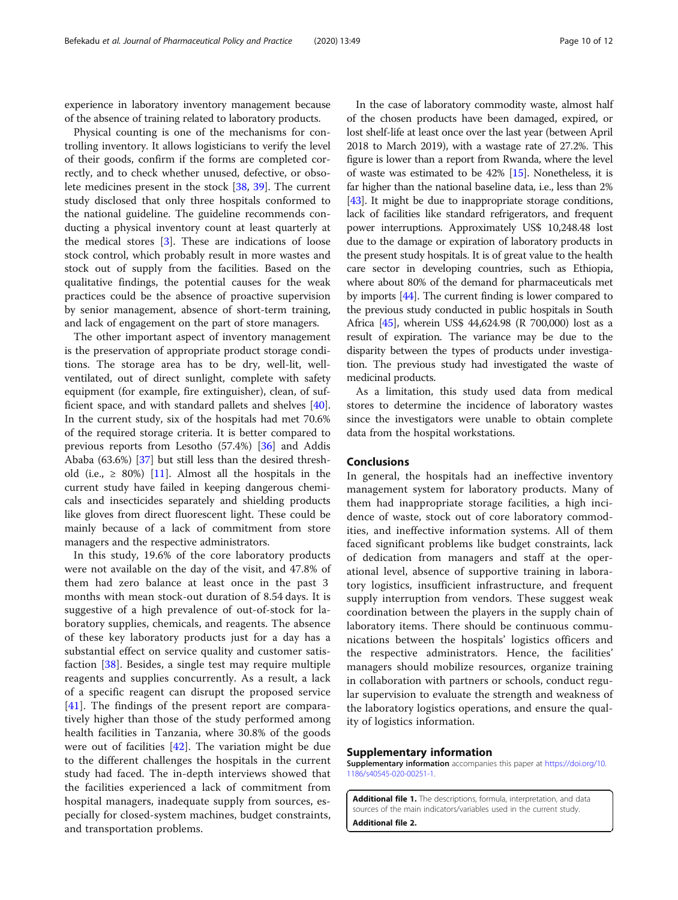<span id="page-9-0"></span>experience in laboratory inventory management because of the absence of training related to laboratory products.

Physical counting is one of the mechanisms for controlling inventory. It allows logisticians to verify the level of their goods, confirm if the forms are completed correctly, and to check whether unused, defective, or obsolete medicines present in the stock [\[38](#page-11-0), [39](#page-11-0)]. The current study disclosed that only three hospitals conformed to the national guideline. The guideline recommends conducting a physical inventory count at least quarterly at the medical stores [[3\]](#page-10-0). These are indications of loose stock control, which probably result in more wastes and stock out of supply from the facilities. Based on the qualitative findings, the potential causes for the weak practices could be the absence of proactive supervision by senior management, absence of short-term training, and lack of engagement on the part of store managers.

The other important aspect of inventory management is the preservation of appropriate product storage conditions. The storage area has to be dry, well-lit, wellventilated, out of direct sunlight, complete with safety equipment (for example, fire extinguisher), clean, of sufficient space, and with standard pallets and shelves [\[40](#page-11-0)]. In the current study, six of the hospitals had met 70.6% of the required storage criteria. It is better compared to previous reports from Lesotho (57.4%) [\[36](#page-11-0)] and Addis Ababa (63.6%) [\[37](#page-11-0)] but still less than the desired threshold (i.e.,  $\geq$  80%) [\[11](#page-10-0)]. Almost all the hospitals in the current study have failed in keeping dangerous chemicals and insecticides separately and shielding products like gloves from direct fluorescent light. These could be mainly because of a lack of commitment from store managers and the respective administrators.

In this study, 19.6% of the core laboratory products were not available on the day of the visit, and 47.8% of them had zero balance at least once in the past 3 months with mean stock-out duration of 8.54 days. It is suggestive of a high prevalence of out-of-stock for laboratory supplies, chemicals, and reagents. The absence of these key laboratory products just for a day has a substantial effect on service quality and customer satisfaction [[38](#page-11-0)]. Besides, a single test may require multiple reagents and supplies concurrently. As a result, a lack of a specific reagent can disrupt the proposed service [[41\]](#page-11-0). The findings of the present report are comparatively higher than those of the study performed among health facilities in Tanzania, where 30.8% of the goods were out of facilities [\[42](#page-11-0)]. The variation might be due to the different challenges the hospitals in the current study had faced. The in-depth interviews showed that the facilities experienced a lack of commitment from hospital managers, inadequate supply from sources, especially for closed-system machines, budget constraints, and transportation problems.

In the case of laboratory commodity waste, almost half of the chosen products have been damaged, expired, or lost shelf-life at least once over the last year (between April 2018 to March 2019), with a wastage rate of 27.2%. This figure is lower than a report from Rwanda, where the level of waste was estimated to be 42% [\[15\]](#page-10-0). Nonetheless, it is far higher than the national baseline data, i.e., less than 2% [[43](#page-11-0)]. It might be due to inappropriate storage conditions, lack of facilities like standard refrigerators, and frequent power interruptions. Approximately US\$ 10,248.48 lost due to the damage or expiration of laboratory products in the present study hospitals. It is of great value to the health care sector in developing countries, such as Ethiopia, where about 80% of the demand for pharmaceuticals met by imports [\[44\]](#page-11-0). The current finding is lower compared to the previous study conducted in public hospitals in South Africa [\[45\]](#page-11-0), wherein US\$ 44,624.98 (R 700,000) lost as a result of expiration. The variance may be due to the disparity between the types of products under investigation. The previous study had investigated the waste of medicinal products.

As a limitation, this study used data from medical stores to determine the incidence of laboratory wastes since the investigators were unable to obtain complete data from the hospital workstations.

## Conclusions

In general, the hospitals had an ineffective inventory management system for laboratory products. Many of them had inappropriate storage facilities, a high incidence of waste, stock out of core laboratory commodities, and ineffective information systems. All of them faced significant problems like budget constraints, lack of dedication from managers and staff at the operational level, absence of supportive training in laboratory logistics, insufficient infrastructure, and frequent supply interruption from vendors. These suggest weak coordination between the players in the supply chain of laboratory items. There should be continuous communications between the hospitals' logistics officers and the respective administrators. Hence, the facilities' managers should mobilize resources, organize training in collaboration with partners or schools, conduct regular supervision to evaluate the strength and weakness of the laboratory logistics operations, and ensure the quality of logistics information.

## Supplementary information

Supplementary information accompanies this paper at [https://doi.org/10.](https://doi.org/10.1186/s40545-020-00251-1) [1186/s40545-020-00251-1](https://doi.org/10.1186/s40545-020-00251-1).

Additional file 1. The descriptions, formula, interpretation, and data sources of the main indicators/variables used in the current study. Additional file 2.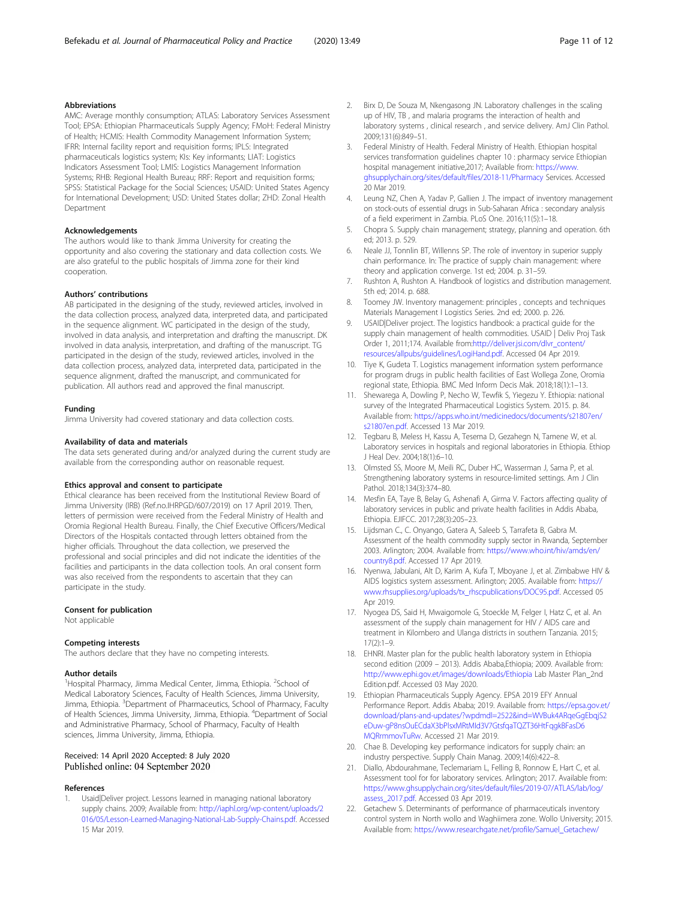# <span id="page-10-0"></span>Abbreviations

AMC: Average monthly consumption; ATLAS: Laboratory Services Assessment Tool; EPSA: Ethiopian Pharmaceuticals Supply Agency; FMoH: Federal Ministry of Health; HCMIS: Health Commodity Management Information System; IFRR: Internal facility report and requisition forms; IPLS: Integrated pharmaceuticals logistics system; KIs: Key informants; LIAT: Logistics Indicators Assessment Tool; LMIS: Logistics Management Information Systems; RHB: Regional Health Bureau; RRF: Report and requisition forms; SPSS: Statistical Package for the Social Sciences; USAID: United States Agency for International Development; USD: United States dollar; ZHD: Zonal Health Department

## Acknowledgements

The authors would like to thank Jimma University for creating the opportunity and also covering the stationary and data collection costs. We are also grateful to the public hospitals of Jimma zone for their kind cooperation.

#### Authors' contributions

AB participated in the designing of the study, reviewed articles, involved in the data collection process, analyzed data, interpreted data, and participated in the sequence alignment. WC participated in the design of the study, involved in data analysis, and interpretation and drafting the manuscript. DK involved in data analysis, interpretation, and drafting of the manuscript. TG participated in the design of the study, reviewed articles, involved in the data collection process, analyzed data, interpreted data, participated in the sequence alignment, drafted the manuscript, and communicated for publication. All authors read and approved the final manuscript.

#### Funding

Jimma University had covered stationary and data collection costs.

#### Availability of data and materials

The data sets generated during and/or analyzed during the current study are available from the corresponding author on reasonable request.

#### Ethics approval and consent to participate

Ethical clearance has been received from the Institutional Review Board of Jimma University (IRB) (Ref.no.IHRPGD/607/2019) on 17 April 2019. Then, letters of permission were received from the Federal Ministry of Health and Oromia Regional Health Bureau. Finally, the Chief Executive Officers/Medical Directors of the Hospitals contacted through letters obtained from the higher officials. Throughout the data collection, we preserved the professional and social principles and did not indicate the identities of the facilities and participants in the data collection tools. An oral consent form was also received from the respondents to ascertain that they can participate in the study.

# Consent for publication

Not applicable

#### Competing interests

The authors declare that they have no competing interests.

#### Author details

<sup>1</sup>Hospital Pharmacy, Jimma Medical Center, Jimma, Ethiopia. <sup>2</sup>School of Medical Laboratory Sciences, Faculty of Health Sciences, Jimma University, Jimma, Ethiopia. <sup>3</sup>Department of Pharmaceutics, School of Pharmacy, Faculty of Health Sciences, Jimma University, Jimma, Ethiopia. <sup>4</sup>Department of Social and Administrative Pharmacy, School of Pharmacy, Faculty of Health sciences, Jimma University, Jimma, Ethiopia.

# Received: 14 April 2020 Accepted: 8 July 2020 Published online: 04 September 2020

#### References

1. Usaid|Deliver project. Lessons learned in managing national laboratory supply chains. 2009; Available from: [http://iaphl.org/wp-content/uploads/2](http://iaphl.org/wp-content/uploads/2016/05/Lesson-Learned-Managing-National-Lab-Supply-Chains.pdf) [016/05/Lesson-Learned-Managing-National-Lab-Supply-Chains.pdf.](http://iaphl.org/wp-content/uploads/2016/05/Lesson-Learned-Managing-National-Lab-Supply-Chains.pdf) Accessed 15 Mar 2019.

- 2. Birx D, De Souza M, Nkengasong JN. Laboratory challenges in the scaling up of HIV, TB , and malaria programs the interaction of health and laboratory systems , clinical research , and service delivery. AmJ Clin Pathol. 2009;131(6):849–51.
- 3. Federal Ministry of Health. Federal Ministry of Health. Ethiopian hospital services transformation guidelines chapter 10 : pharmacy service Ethiopian hospital management initiative,2017; Available from: [https://www.](https://www.ghsupplychain.org/sites/default/files/2018-11/Pharmacy) [ghsupplychain.org/sites/default/files/2018-11/Pharmacy](https://www.ghsupplychain.org/sites/default/files/2018-11/Pharmacy) Services. Accessed 20 Mar 2019.
- 4. Leung NZ, Chen A, Yadav P, Gallien J. The impact of inventory management on stock-outs of essential drugs in Sub-Saharan Africa : secondary analysis of a field experiment in Zambia. PLoS One. 2016;11(5):1–18.
- 5. Chopra S. Supply chain management; strategy, planning and operation. 6th ed; 2013. p. 529.
- 6. Neale JJ, Tonnlin BT, Willenns SP. The role of inventory in superior supply chain performance. In: The practice of supply chain management: where theory and application converge. 1st ed; 2004. p. 31–59.
- 7. Rushton A, Rushton A. Handbook of logistics and distribution management. 5th ed; 2014. p. 688.
- 8. Toomey JW. Inventory management: principles , concepts and techniques Materials Management I Logistics Series. 2nd ed; 2000. p. 226.
- 9. USAID|Deliver project. The logistics handbook: a practical guide for the supply chain management of health commodities. USAID | Deliv Proj Task Order 1, 2011;174. Available from[:http://deliver.jsi.com/dlvr\\_content/](http://deliver.jsi.com/dlvr_content/resources/allpubs/guidelines/LogiHand.pdf) [resources/allpubs/guidelines/LogiHand.pdf](http://deliver.jsi.com/dlvr_content/resources/allpubs/guidelines/LogiHand.pdf). Accessed 04 Apr 2019.
- 10. Tiye K, Gudeta T. Logistics management information system performance for program drugs in public health facilities of East Wollega Zone, Oromia regional state, Ethiopia. BMC Med Inform Decis Mak. 2018;18(1):1–13.
- 11. Shewarega A, Dowling P, Necho W, Tewfik S, Yiegezu Y. Ethiopia: national survey of the Integrated Pharmaceutical Logistics System. 2015. p. 84. Available from: [https://apps.who.int/medicinedocs/documents/s21807en/](https://apps.who.int/medicinedocs/documents/s21807en/s21807en.pdf) [s21807en.pdf](https://apps.who.int/medicinedocs/documents/s21807en/s21807en.pdf). Accessed 13 Mar 2019.
- 12. Tegbaru B, Meless H, Kassu A, Tesema D, Gezahegn N, Tamene W, et al. Laboratory services in hospitals and regional laboratories in Ethiopia. Ethiop J Heal Dev. 2004;18(1):6–10.
- 13. Olmsted SS, Moore M, Meili RC, Duber HC, Wasserman J, Sama P, et al. Strengthening laboratory systems in resource-limited settings. Am J Clin Pathol. 2018;134(3):374–80.
- 14. Mesfin EA, Taye B, Belay G, Ashenafi A, Girma V. Factors affecting quality of laboratory services in public and private health facilities in Addis Ababa, Ethiopia. EJIFCC. 2017;28(3):205–23.
- 15. Lijdsman C., C. Onyango, Gatera A, Saleeb S, Tarrafeta B, Gabra M. Assessment of the health commodity supply sector in Rwanda, September 2003. Arlington; 2004. Available from: [https://www.who.int/hiv/amds/en/](https://www.who.int/hiv/amds/en/country8.pdf.%20Accessed%20on%20April%2017) [country8.pdf.](https://www.who.int/hiv/amds/en/country8.pdf.%20Accessed%20on%20April%2017) Accessed 17 Apr 2019.
- 16. Nyenwa, Jabulani, Alt D, Karim A, Kufa T, Mboyane J, et al. Zimbabwe HIV & AIDS logistics system assessment. Arlington; 2005. Available from: [https://](https://www.rhsupplies.org/uploads/tx_rhscpublications/DOC95.pdf) [www.rhsupplies.org/uploads/tx\\_rhscpublications/DOC95.pdf.](https://www.rhsupplies.org/uploads/tx_rhscpublications/DOC95.pdf) Accessed 05 Apr 2019.
- 17. Nyogea DS, Said H, Mwaigomole G, Stoeckle M, Felger I, Hatz C, et al. An assessment of the supply chain management for HIV / AIDS care and treatment in Kilombero and Ulanga districts in southern Tanzania. 2015;  $17(2) \cdot 1 - 9$
- 18. EHNRI. Master plan for the public health laboratory system in Ethiopia second edition (2009 – 2013). Addis Ababa,Ethiopia; 2009. Available from: <http://www.ephi.gov.et/images/downloads/Ethiopia> Lab Master Plan\_2nd Edition.pdf. Accessed 03 May 2020.
- 19. Ethiopian Pharmaceuticals Supply Agency. EPSA 2019 EFY Annual Performance Report. Addis Ababa; 2019. Available from: [https://epsa.gov.et/](https://epsa.gov.et/download/plans-and-updates/?wpdmdl=2522&ind=WVBuk4ARqeGgEbqjS2eDuw-gP8nsOuECdaX3bPlsxMRtMId3V7GtsfqaTQZT36HtFqgkBFasD6MQRrmmovTuRw) [download/plans-and-updates/?wpdmdl=2522&ind=WVBuk4ARqeGgEbqjS2](https://epsa.gov.et/download/plans-and-updates/?wpdmdl=2522&ind=WVBuk4ARqeGgEbqjS2eDuw-gP8nsOuECdaX3bPlsxMRtMId3V7GtsfqaTQZT36HtFqgkBFasD6MQRrmmovTuRw) [eDuw-gP8nsOuECdaX3bPlsxMRtMId3V7GtsfqaTQZT36HtFqgkBFasD6](https://epsa.gov.et/download/plans-and-updates/?wpdmdl=2522&ind=WVBuk4ARqeGgEbqjS2eDuw-gP8nsOuECdaX3bPlsxMRtMId3V7GtsfqaTQZT36HtFqgkBFasD6MQRrmmovTuRw) [MQRrmmovTuRw.](https://epsa.gov.et/download/plans-and-updates/?wpdmdl=2522&ind=WVBuk4ARqeGgEbqjS2eDuw-gP8nsOuECdaX3bPlsxMRtMId3V7GtsfqaTQZT36HtFqgkBFasD6MQRrmmovTuRw) Accessed 21 Mar 2019.
- 20. Chae B. Developing key performance indicators for supply chain: an industry perspective. Supply Chain Manag. 2009;14(6):422–8.
- 21. Diallo, Abdourahmane, Teclemariam L, Felling B, Ronnow E, Hart C, et al. Assessment tool for for laboratory services. Arlington; 2017. Available from: [https://www.ghsupplychain.org/sites/default/files/2019-07/ATLAS/lab/log/](https://www.ghsupplychain.org/sites/default/files/2019-07/ATLAS/lab/log/assess_2017.pdf) [assess\\_2017.pdf.](https://www.ghsupplychain.org/sites/default/files/2019-07/ATLAS/lab/log/assess_2017.pdf) Accessed 03 Apr 2019.
- 22. Getachew S. Determinants of performance of pharmaceuticals inventory control system in North wollo and Waghiimera zone. Wollo University; 2015. Available from: [https://www.researchgate.net/profile/Samuel\\_Getachew/](https://www.researchgate.net/profile/Samuel_Getachew/publication/281114501_Determinants_of_performance_of_pharmaceuticals_inventory_control_system_in_North_wollo_and_Waghiimera_zone/links/55d6d84608ae9d65948bfb49/Determinants-of-performance-of-pharmaceuticals-inventory-control-system-in-North-wollo-and-Waghiimera-zone.pdf?origin=publication_detail)